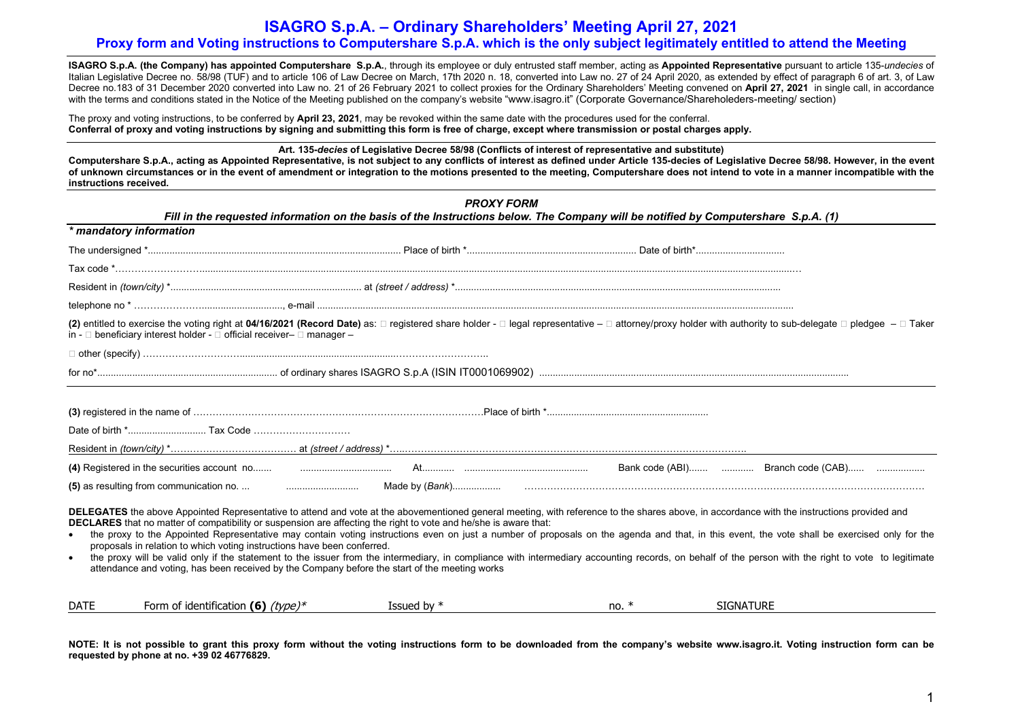# ISAGRO S.p.A. – Ordinary Shareholders' Meeting April 27, 2021 Proxy form and Voting instructions to Computershare S.p.A. which is the only subject legitimately entitled to attend the Meeting

ISAGRO S.p.A. (the Company) has appointed Computershare S.p.A., through its employee or duly entrusted staff member, acting as Appointed Representative pursuant to article 135-undecies of Italian Legislative Decree no. 58/98 (TUF) and to article 106 of Law Decree on March, 17th 2020 n. 18, converted into Law no. 27 of 24 April 2020, as extended by effect of paragraph 6 of art. 3, of Law Decree no.183 of 31 December 2020 converted into Law no. 21 of 26 February 2021 to collect proxies for the Ordinary Shareholders' Meeting convened on April 27, 2021 in single call, in accordance with the terms and conditions stated in the Notice of the Meeting published on the company's website "www.isagro.it" (Corporate Governance/Shareholeders-meeting/ section)

The proxy and voting instructions, to be conferred by April 23, 2021, may be revoked within the same date with the procedures used for the conferral. Conferral of proxy and voting instructions by signing and submitting this form is free of charge, except where transmission or postal charges apply.

Art. 135-decies of Legislative Decree 58/98 (Conflicts of interest of representative and substitute)

Computershare S.p.A., acting as Appointed Representative, is not subject to any conflicts of interest as defined under Article 135-decies of Legislative Decree 58/98. However, in the event of unknown circumstances or in the event of amendment or integration to the motions presented to the meeting, Computershare does not intend to vote in a manner incompatible with the instructions received.

|                                                                                                                                                                                                                                                                                                           | <b>PROXY FORM</b> |         | Fill in the requested information on the basis of the Instructions below. The Company will be notified by Computershare S.p.A. (1)                                                                                                                                                                                                                                                                                                                                                                                                                                                                 |
|-----------------------------------------------------------------------------------------------------------------------------------------------------------------------------------------------------------------------------------------------------------------------------------------------------------|-------------------|---------|----------------------------------------------------------------------------------------------------------------------------------------------------------------------------------------------------------------------------------------------------------------------------------------------------------------------------------------------------------------------------------------------------------------------------------------------------------------------------------------------------------------------------------------------------------------------------------------------------|
| * mandatory information                                                                                                                                                                                                                                                                                   |                   |         |                                                                                                                                                                                                                                                                                                                                                                                                                                                                                                                                                                                                    |
|                                                                                                                                                                                                                                                                                                           |                   |         |                                                                                                                                                                                                                                                                                                                                                                                                                                                                                                                                                                                                    |
|                                                                                                                                                                                                                                                                                                           |                   |         |                                                                                                                                                                                                                                                                                                                                                                                                                                                                                                                                                                                                    |
|                                                                                                                                                                                                                                                                                                           |                   |         |                                                                                                                                                                                                                                                                                                                                                                                                                                                                                                                                                                                                    |
|                                                                                                                                                                                                                                                                                                           |                   |         |                                                                                                                                                                                                                                                                                                                                                                                                                                                                                                                                                                                                    |
| in - $\Box$ beneficiary interest holder - $\Box$ official receiver- $\Box$ manager -                                                                                                                                                                                                                      |                   |         | (2) entitled to exercise the voting right at 04/16/2021 (Record Date) as: $\Box$ registered share holder - $\Box$ legal representative - $\Box$ attorney/proxy holder with authority to sub-delegate $\Box$ pledgee - $\Box$ Taker                                                                                                                                                                                                                                                                                                                                                                 |
|                                                                                                                                                                                                                                                                                                           |                   |         |                                                                                                                                                                                                                                                                                                                                                                                                                                                                                                                                                                                                    |
|                                                                                                                                                                                                                                                                                                           |                   |         |                                                                                                                                                                                                                                                                                                                                                                                                                                                                                                                                                                                                    |
|                                                                                                                                                                                                                                                                                                           |                   |         |                                                                                                                                                                                                                                                                                                                                                                                                                                                                                                                                                                                                    |
|                                                                                                                                                                                                                                                                                                           |                   |         |                                                                                                                                                                                                                                                                                                                                                                                                                                                                                                                                                                                                    |
|                                                                                                                                                                                                                                                                                                           |                   |         |                                                                                                                                                                                                                                                                                                                                                                                                                                                                                                                                                                                                    |
| DECLARES that no matter of compatibility or suspension are affecting the right to vote and he/she is aware that:<br>proposals in relation to which voting instructions have been conferred.<br>$\bullet$<br>attendance and voting, has been received by the Company before the start of the meeting works |                   |         | DELEGATES the above Appointed Representative to attend and vote at the abovementioned general meeting, with reference to the shares above, in accordance with the instructions provided and<br>the proxy to the Appointed Representative may contain voting instructions even on just a number of proposals on the agenda and that, in this event, the vote shall be exercised only for the<br>the proxy will be valid only if the statement to the issuer from the intermediary, in compliance with intermediary accounting records, on behalf of the person with the right to vote to legitimate |
| Form of identification (6) $(type)*$<br><b>DATE</b>                                                                                                                                                                                                                                                       | Issued by $*$     | no. $*$ | <b>SIGNATURE</b>                                                                                                                                                                                                                                                                                                                                                                                                                                                                                                                                                                                   |

NOTE: It is not possible to grant this proxy form without the voting instructions form to be downloaded from the company's website www.isagro.it. Voting instruction form can be requested by phone at no. +39 02 46776829.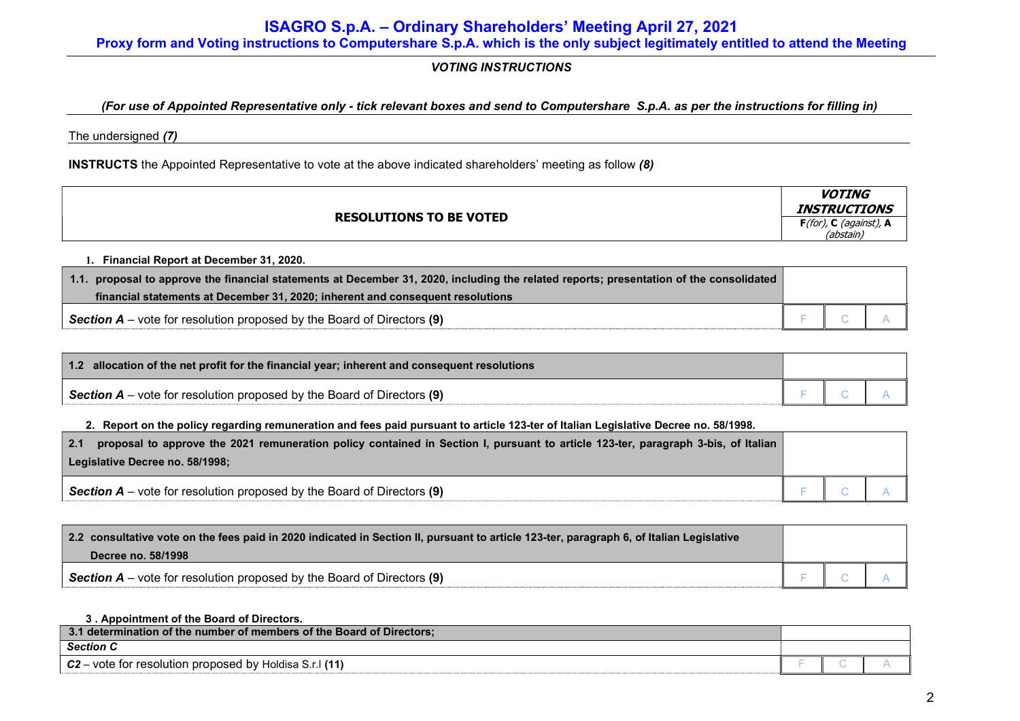# VOTING INSTRUCTIONS

# (For use of Appointed Representative only - tick relevant boxes and send to Computershare S.p.A. as per the instructions for filling in)

The undersigned (7)

INSTRUCTS the Appointed Representative to vote at the above indicated shareholders' meeting as follow (8)

|                                | <b>VOTING</b><br><b>INSTRUCTIONS</b>   |
|--------------------------------|----------------------------------------|
| <b>RESOLUTIONS TO BE VOTED</b> | $F($ for), C (against), A<br>(abstain) |

1. Financial Report at December 31, 2020.

| 1.1. proposal to approve the financial statements at December 31, 2020, including the related reports; presentation of the consolidated |  |  |
|-----------------------------------------------------------------------------------------------------------------------------------------|--|--|
| financial statements at December 31, 2020; inherent and consequent resolutions                                                          |  |  |
| Section $A$ – vote for resolution proposed by the Board of Directors (9)                                                                |  |  |

| 1.2 allocation of the net profit for the financial year; inherent and consequent resolutions |  |  |
|----------------------------------------------------------------------------------------------|--|--|
| <b>Section A</b> – vote for resolution proposed by the Board of Directors (9)                |  |  |

## 2. Report on the policy regarding remuneration and fees paid pursuant to article 123-ter of Italian Legislative Decree no. 58/1998.

| proposal to approve the 2021 remuneration policy contained in Section I, pursuant to article 123-ter, paragraph 3-bis, of Italian<br>2.1 |  |  |
|------------------------------------------------------------------------------------------------------------------------------------------|--|--|
| Legislative Decree no. 58/1998;                                                                                                          |  |  |
| <b>Section A</b> – vote for resolution proposed by the Board of Directors (9)                                                            |  |  |

| 2.2 consultative vote on the fees paid in 2020 indicated in Section II, pursuant to article 123-ter, paragraph 6, of Italian Legislative |  |  |
|------------------------------------------------------------------------------------------------------------------------------------------|--|--|
| Decree no. 58/1998                                                                                                                       |  |  |
| Section $A$ – vote for resolution proposed by the Board of Directors (9)                                                                 |  |  |

## 3 . Appointment of the Board of Directors.

| determination of the number of members of the Board of Directors:<br>                |                          |  |
|--------------------------------------------------------------------------------------|--------------------------|--|
| <b>Section</b>                                                                       |                          |  |
| $C2-$<br>∙vote<br>∵ res∩l⊔ti∩n<br>`hv.<br>⊢tor<br>⊦ proposed<br>Holdisa<br>. Jouunum | $\overline{\phantom{a}}$ |  |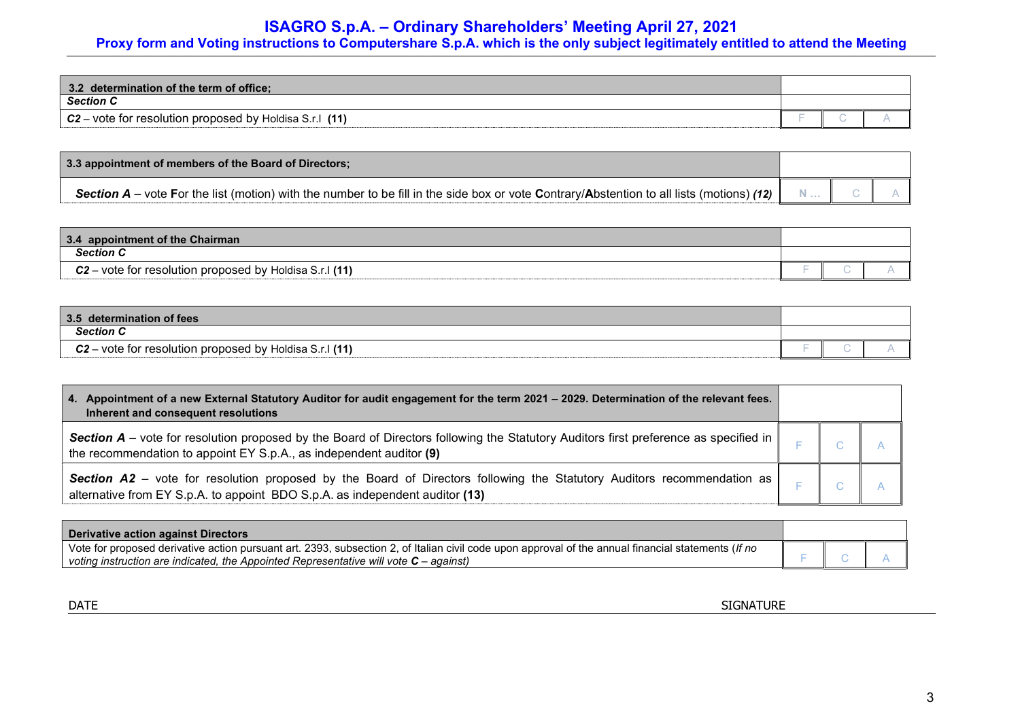# ISAGRO S.p.A. – Ordinary Shareholders' Meeting April 27, 2021

# Proxy form and Voting instructions to Computershare S.p.A. which is the only subject legitimately entitled to attend the Meeting

| $\vert 3.2 \vert$<br>determination of the term of office;                   |  |  |
|-----------------------------------------------------------------------------|--|--|
| <b>Section C</b>                                                            |  |  |
| $C2 -$<br>(11)<br>- vote<br>e for resolution proposed.<br>hv<br>lisa S<br>. |  |  |

| 3.3 appointment of members of the Board of Directors;                                                                                                    |     |  |
|----------------------------------------------------------------------------------------------------------------------------------------------------------|-----|--|
| <b>Section A</b> – vote For the list (motion) with the number to be fill in the side box or vote Contrary/Abstention to all lists (motions) (12) $\vert$ | $N$ |  |

| 3.4 appointment of the Chairman                           |                          |  |
|-----------------------------------------------------------|--------------------------|--|
| <b>Section C</b>                                          |                          |  |
| $C2$ – vote for resolution proposed by Holdisa S.r.I (11) | $\overline{\phantom{a}}$ |  |

| 3.5 determination of fees                           |  |  |
|-----------------------------------------------------|--|--|
| <b>Section C</b>                                    |  |  |
| $C2$ – vote for resolution proposed by Holdisa S.r. |  |  |

| 4. Appointment of a new External Statutory Auditor for audit engagement for the term 2021 - 2029. Determination of the relevant fees.<br>Inherent and consequent resolutions                                            |  |  |
|-------------------------------------------------------------------------------------------------------------------------------------------------------------------------------------------------------------------------|--|--|
| <b>Section A</b> – vote for resolution proposed by the Board of Directors following the Statutory Auditors first preference as specified in $\ $<br>the recommendation to appoint EY S.p.A., as independent auditor (9) |  |  |
| <b>Section A2</b> – vote for resolution proposed by the Board of Directors following the Statutory Auditors recommendation as $\ $<br>alternative from EY S.p.A. to appoint BDO S.p.A. as independent auditor (13)      |  |  |

| <b>Derivative action against Directors</b>                                                                                                          |  |  |
|-----------------------------------------------------------------------------------------------------------------------------------------------------|--|--|
| Vote for proposed derivative action pursuant art. 2393, subsection 2, of Italian civil code upon approval of the annual financial statements (If no |  |  |
| voting instruction are indicated, the Appointed Representative will vote $C$ – against)                                                             |  |  |

DATE SIGNATURE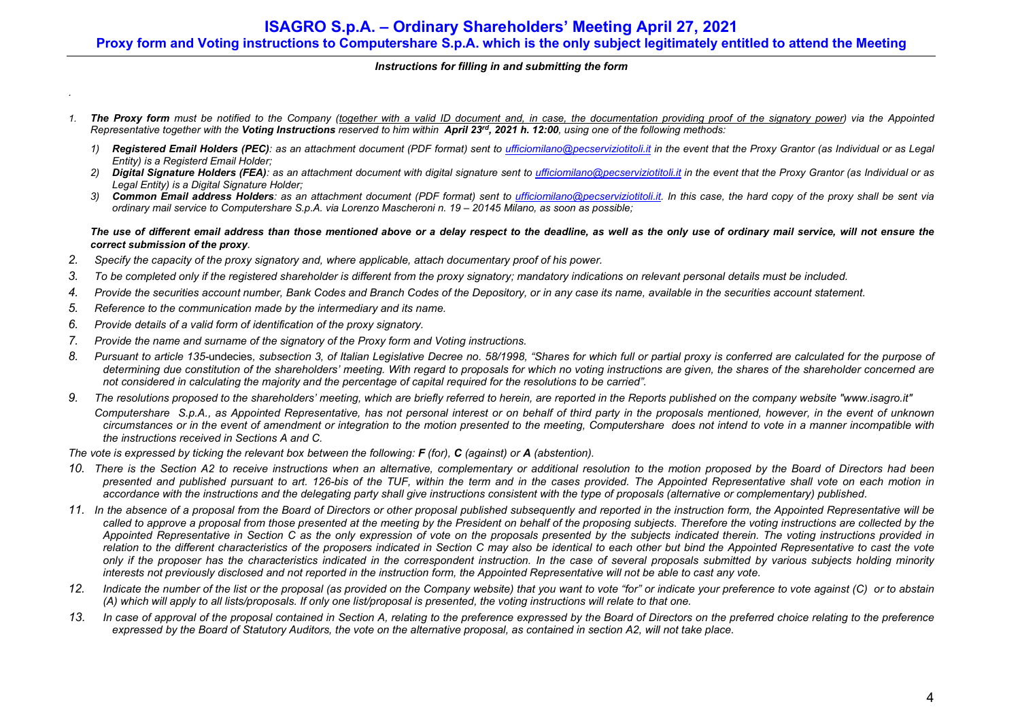### Instructions for filling in and submitting the form

- 1. The Proxy form must be notified to the Company (together with a valid ID document and, in case, the documentation providing proof of the signatory power) via the Appointed Representative together with the Voting Instructions reserved to him within April 23<sup>rd</sup>, 2021 h. 12:00, using one of the following methods:
	- 1) Registered Email Holders (PEC): as an attachment document (PDF format) sent to ufficiomilano@pecserviziotitoli.it in the event that the Proxy Grantor (as Individual or as Legal Entity) is a Registerd Email Holder;
	- 2) Digital Signature Holders (FEA): as an attachment document with digital signature sent to ufficiomilano@pecserviziotitoli.it in the event that the Proxy Grantor (as Individual or as Legal Entity) is a Digital Signature Holder;
	- 3) Common Email address Holders: as an attachment document (PDF format) sent to ufficiomilano@pecserviziotitoli.it. In this case, the hard copy of the proxy shall be sent via ordinary mail service to Computershare S.p.A. via Lorenzo Mascheroni n. 19 – 20145 Milano, as soon as possible;

The use of different email address than those mentioned above or a delay respect to the deadline, as well as the only use of ordinary mail service, will not ensure the correct submission of the proxy.

- 2. Specify the capacity of the proxy signatory and, where applicable, attach documentary proof of his power.
- 3. To be completed only if the registered shareholder is different from the proxy signatory; mandatory indications on relevant personal details must be included.
- 4. Provide the securities account number, Bank Codes and Branch Codes of the Depository, or in any case its name, available in the securities account statement.
- 5. Reference to the communication made by the intermediary and its name.
- 6. Provide details of a valid form of identification of the proxy signatory.

.

- 7. Provide the name and surname of the signatory of the Proxy form and Voting instructions.
- 8. Pursuant to article 135-undecies, subsection 3, of Italian Legislative Decree no. 58/1998. "Shares for which full or partial proxy is conferred are calculated for the purpose of determining due constitution of the shareholders' meeting. With regard to proposals for which no voting instructions are given, the shares of the shareholder concerned are not considered in calculating the majority and the percentage of capital required for the resolutions to be carried".
- 9. The resolutions proposed to the shareholders' meeting, which are briefly referred to herein, are reported in the Reports published on the company website "www.isagro.it" Computershare S.p.A., as Appointed Representative, has not personal interest or on behalf of third party in the proposals mentioned, however, in the event of unknown circumstances or in the event of amendment or integration to the motion presented to the meeting, Computershare does not intend to vote in a manner incompatible with the instructions received in Sections A and C.

The vote is expressed by ticking the relevant box between the following:  $F$  (for),  $C$  (against) or  $A$  (abstention).

- 10. There is the Section A2 to receive instructions when an alternative, complementary or additional resolution to the motion proposed by the Board of Directors had been presented and published pursuant to art. 126-bis of the TUF, within the term and in the cases provided. The Appointed Representative shall vote on each motion in accordance with the instructions and the delegating party shall give instructions consistent with the type of proposals (alternative or complementary) published.
- 11. In the absence of a proposal from the Board of Directors or other proposal published subsequently and reported in the instruction form, the Appointed Representative will be called to approve a proposal from those presented at the meeting by the President on behalf of the proposing subjects. Therefore the voting instructions are collected by the Appointed Representative in Section C as the only expression of vote on the proposals presented by the subjects indicated therein. The voting instructions provided in relation to the different characteristics of the proposers indicated in Section C may also be identical to each other but bind the Appointed Representative to cast the vote only if the proposer has the characteristics indicated in the correspondent instruction. In the case of several proposals submitted by various subjects holding minority interests not previously disclosed and not reported in the instruction form, the Appointed Representative will not be able to cast any vote.
- 12. Indicate the number of the list or the proposal (as provided on the Company website) that you want to vote "for" or indicate your preference to vote against (C) or to abstain (A) which will apply to all lists/proposals. If only one list/proposal is presented, the voting instructions will relate to that one.
- 13. In case of approval of the proposal contained in Section A, relating to the preference expressed by the Board of Directors on the preferred choice relating to the preference expressed by the Board of Statutory Auditors, the vote on the alternative proposal, as contained in section A2, will not take place.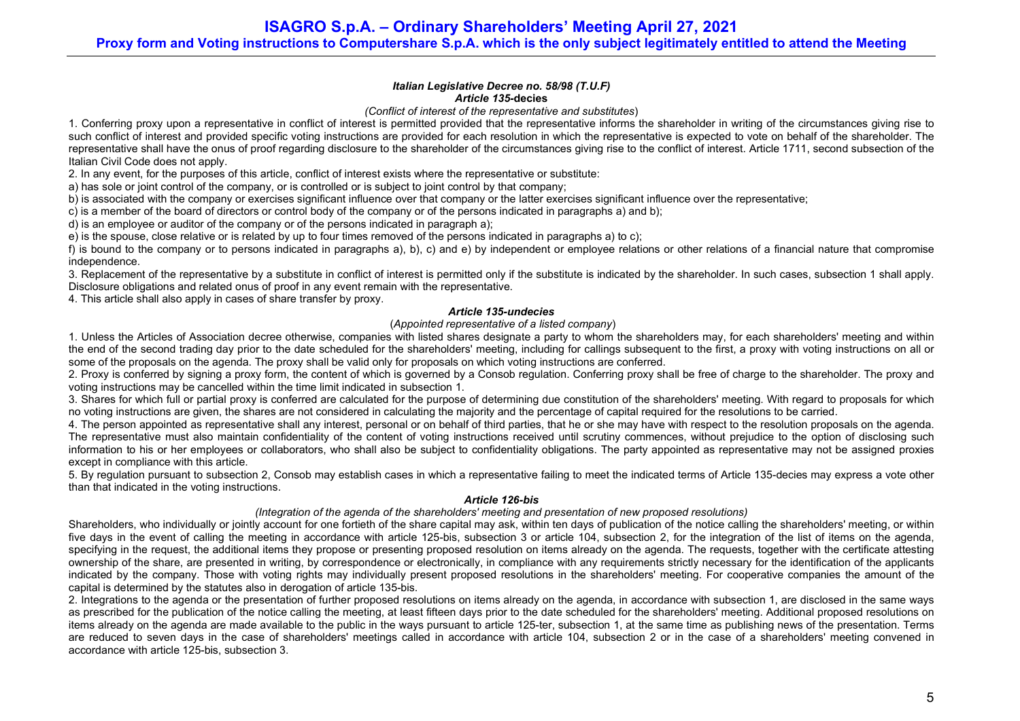ISAGRO S.p.A. – Ordinary Shareholders' Meeting April 27, 2021 Proxy form and Voting instructions to Computershare S.p.A. which is the only subject legitimately entitled to attend the Meeting

#### Italian Legislative Decree no. 58/98 (T.U.F) Article 135-decies

(Conflict of interest of the representative and substitutes)

1. Conferring proxy upon a representative in conflict of interest is permitted provided that the representative informs the shareholder in writing of the circumstances giving rise to such conflict of interest and provided specific voting instructions are provided for each resolution in which the representative is expected to vote on behalf of the shareholder. The representative shall have the onus of proof regarding disclosure to the shareholder of the circumstances giving rise to the conflict of interest. Article 1711, second subsection of the Italian Civil Code does not apply.

2. In any event, for the purposes of this article, conflict of interest exists where the representative or substitute:

a) has sole or joint control of the company, or is controlled or is subject to joint control by that company;

b) is associated with the company or exercises significant influence over that company or the latter exercises significant influence over the representative:

c) is a member of the board of directors or control body of the company or of the persons indicated in paragraphs a) and b);

d) is an employee or auditor of the company or of the persons indicated in paragraph a);

e) is the spouse, close relative or is related by up to four times removed of the persons indicated in paragraphs a) to c);

f) is bound to the company or to persons indicated in paragraphs a), b), c) and e) by independent or employee relations or other relations of a financial nature that compromise independence.

3. Replacement of the representative by a substitute in conflict of interest is permitted only if the substitute is indicated by the shareholder. In such cases, subsection 1 shall apply. Disclosure obligations and related onus of proof in any event remain with the representative.

4. This article shall also apply in cases of share transfer by proxy.

### Article 135-undecies

### (Appointed representative of a listed company)

1. Unless the Articles of Association decree otherwise, companies with listed shares designate a party to whom the shareholders may, for each shareholders' meeting and within the end of the second trading day prior to the date scheduled for the shareholders' meeting, including for callings subsequent to the first, a proxy with voting instructions on all or some of the proposals on the agenda. The proxy shall be valid only for proposals on which voting instructions are conferred.

2. Proxy is conferred by signing a proxy form, the content of which is governed by a Consob regulation. Conferring proxy shall be free of charge to the shareholder. The proxy and voting instructions may be cancelled within the time limit indicated in subsection 1.

3. Shares for which full or partial proxy is conferred are calculated for the purpose of determining due constitution of the shareholders' meeting. With regard to proposals for which no voting instructions are given, the shares are not considered in calculating the majority and the percentage of capital required for the resolutions to be carried.

4. The person appointed as representative shall any interest, personal or on behalf of third parties, that he or she may have with respect to the resolution proposals on the agenda. The representative must also maintain confidentiality of the content of voting instructions received until scrutiny commences, without prejudice to the option of disclosing such information to his or her employees or collaborators, who shall also be subject to confidentiality obligations. The party appointed as representative may not be assigned proxies except in compliance with this article.

5. By regulation pursuant to subsection 2, Consob may establish cases in which a representative failing to meet the indicated terms of Article 135-decies may express a vote other than that indicated in the voting instructions.

### Article 126-bis

### (Integration of the agenda of the shareholders' meeting and presentation of new proposed resolutions)

Shareholders, who individually or jointly account for one fortieth of the share capital may ask, within ten days of publication of the notice calling the shareholders' meeting, or within five days in the event of calling the meeting in accordance with article 125-bis, subsection 3 or article 104, subsection 2, for the integration of the list of items on the agenda, specifying in the request, the additional items they propose or presenting proposed resolution on items already on the agenda. The requests, together with the certificate attesting ownership of the share, are presented in writing, by correspondence or electronically, in compliance with any requirements strictly necessary for the identification of the applicants indicated by the company. Those with voting rights may individually present proposed resolutions in the shareholders' meeting. For cooperative companies the amount of the capital is determined by the statutes also in derogation of article 135-bis.

2. Integrations to the agenda or the presentation of further proposed resolutions on items already on the agenda, in accordance with subsection 1, are disclosed in the same ways as prescribed for the publication of the notice calling the meeting, at least fifteen days prior to the date scheduled for the shareholders' meeting. Additional proposed resolutions on items already on the agenda are made available to the public in the ways pursuant to article 125-ter, subsection 1, at the same time as publishing news of the presentation. Terms are reduced to seven days in the case of shareholders' meetings called in accordance with article 104, subsection 2 or in the case of a shareholders' meeting convened in accordance with article 125-bis, subsection 3.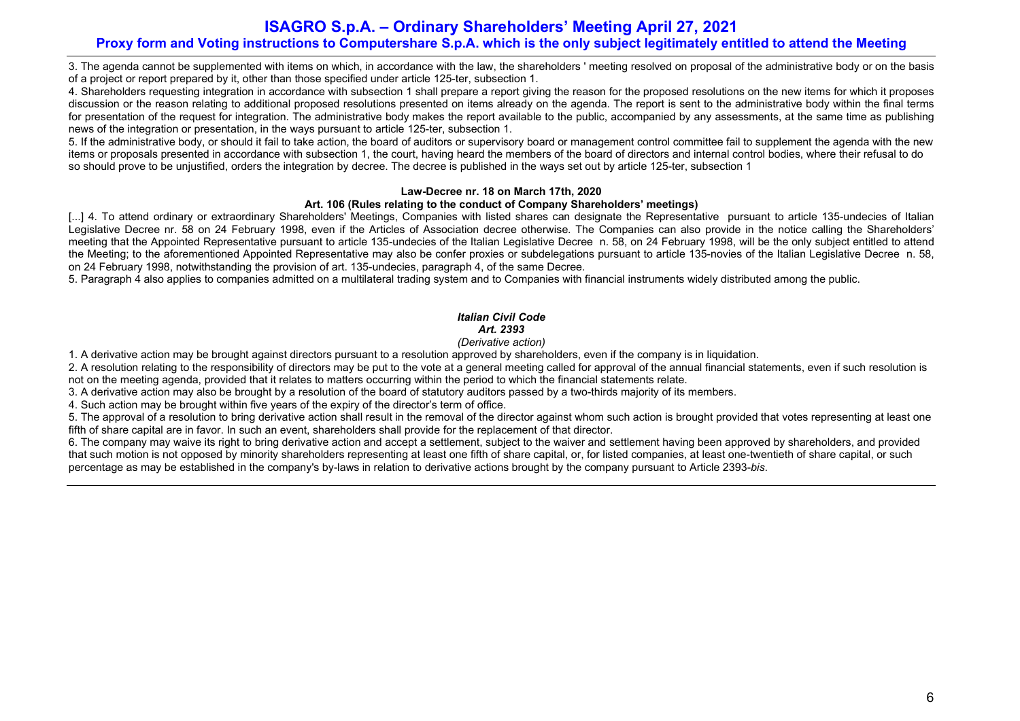# ISAGRO S.p.A. – Ordinary Shareholders' Meeting April 27, 2021 Proxy form and Voting instructions to Computershare S.p.A. which is the only subject legitimately entitled to attend the Meeting

3. The agenda cannot be supplemented with items on which, in accordance with the law, the shareholders ' meeting resolved on proposal of the administrative body or on the basis of a project or report prepared by it, other than those specified under article 125-ter, subsection 1.

4. Shareholders requesting integration in accordance with subsection 1 shall prepare a report giving the reason for the proposed resolutions on the new items for which it proposes discussion or the reason relating to additional proposed resolutions presented on items already on the agenda. The report is sent to the administrative body within the final terms for presentation of the request for integration. The administrative body makes the report available to the public, accompanied by any assessments, at the same time as publishing news of the integration or presentation, in the ways pursuant to article 125-ter, subsection 1.

5. If the administrative body, or should it fail to take action, the board of auditors or supervisory board or management control committee fail to supplement the agenda with the new items or proposals presented in accordance with subsection 1, the court, having heard the members of the board of directors and internal control bodies, where their refusal to do so should prove to be unjustified, orders the integration by decree. The decree is published in the ways set out by article 125-ter, subsection 1

## Law-Decree nr. 18 on March 17th, 2020

## Art. 106 (Rules relating to the conduct of Company Shareholders' meetings)

[...] 4. To attend ordinary or extraordinary Shareholders' Meetings, Companies with listed shares can designate the Representative pursuant to article 135-undecies of Italian Legislative Decree nr. 58 on 24 February 1998, even if the Articles of Association decree otherwise. The Companies can also provide in the notice calling the Shareholders' meeting that the Appointed Representative pursuant to article 135-undecies of the Italian Legislative Decree n. 58, on 24 February 1998, will be the only subject entitled to attend the Meeting; to the aforementioned Appointed Representative may also be confer proxies or subdelegations pursuant to article 135-novies of the Italian Legislative Decree n. 58, on 24 February 1998, notwithstanding the provision of art. 135-undecies, paragraph 4, of the same Decree.

5. Paragraph 4 also applies to companies admitted on a multilateral trading system and to Companies with financial instruments widely distributed among the public.

# Italian Civil Code Art. 2393

# (Derivative action)

1. A derivative action may be brought against directors pursuant to a resolution approved by shareholders, even if the company is in liquidation.

2. A resolution relating to the responsibility of directors may be put to the vote at a general meeting called for approval of the annual financial statements, even if such resolution is not on the meeting agenda, provided that it relates to matters occurring within the period to which the financial statements relate.

3. A derivative action may also be brought by a resolution of the board of statutory auditors passed by a two-thirds majority of its members.

4. Such action may be brought within five years of the expiry of the director's term of office.

5. The approval of a resolution to bring derivative action shall result in the removal of the director against whom such action is brought provided that votes representing at least one fifth of share capital are in favor. In such an event, shareholders shall provide for the replacement of that director.

6. The company may waive its right to bring derivative action and accept a settlement, subject to the waiver and settlement having been approved by shareholders, and provided that such motion is not opposed by minority shareholders representing at least one fifth of share capital, or, for listed companies, at least one-twentieth of share capital, or such percentage as may be established in the company's by-laws in relation to derivative actions brought by the company pursuant to Article 2393-bis.